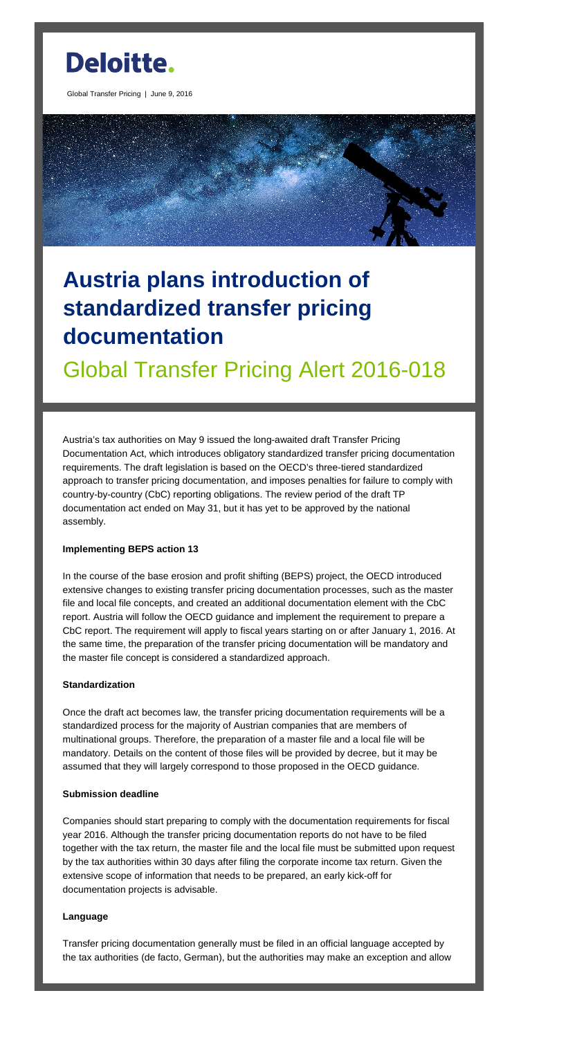

Global Transfer Pricing | June 9, 2016



# **Austria plans introduction of standardized transfer pricing documentation**

Global Transfer Pricing Alert 2016-018

Austria's tax authorities on May 9 issued the long-awaited draft Transfer Pricing Documentation Act, which introduces obligatory standardized transfer pricing documentation requirements. The draft legislation is based on the OECD's three-tiered standardized approach to transfer pricing documentation, and imposes penalties for failure to comply with country-by-country (CbC) reporting obligations. The review period of the draft TP documentation act ended on May 31, but it has yet to be approved by the national assembly.

## **Implementing BEPS action 13**

In the course of the base erosion and profit shifting (BEPS) project, the OECD introduced extensive changes to existing transfer pricing documentation processes, such as the master file and local file concepts, and created an additional documentation element with the CbC report. Austria will follow the OECD guidance and implement the requirement to prepare a CbC report. The requirement will apply to fiscal years starting on or after January 1, 2016. At the same time, the preparation of the transfer pricing documentation will be mandatory and the master file concept is considered a standardized approach.

## **Standardization**

Once the draft act becomes law, the transfer pricing documentation requirements will be a

standardized process for the majority of Austrian companies that are members of multinational groups. Therefore, the preparation of a master file and a local file will be mandatory. Details on the content of those files will be provided by decree, but it may be assumed that they will largely correspond to those proposed in the OECD guidance.

## **Submission deadline**

Companies should start preparing to comply with the documentation requirements for fiscal year 2016. Although the transfer pricing documentation reports do not have to be filed together with the tax return, the master file and the local file must be submitted upon request by the tax authorities within 30 days after filing the corporate income tax return. Given the extensive scope of information that needs to be prepared, an early kick-off for documentation projects is advisable.

#### **Language**

Transfer pricing documentation generally must be filed in an official language accepted by the tax authorities (de facto, German), but the authorities may make an exception and allow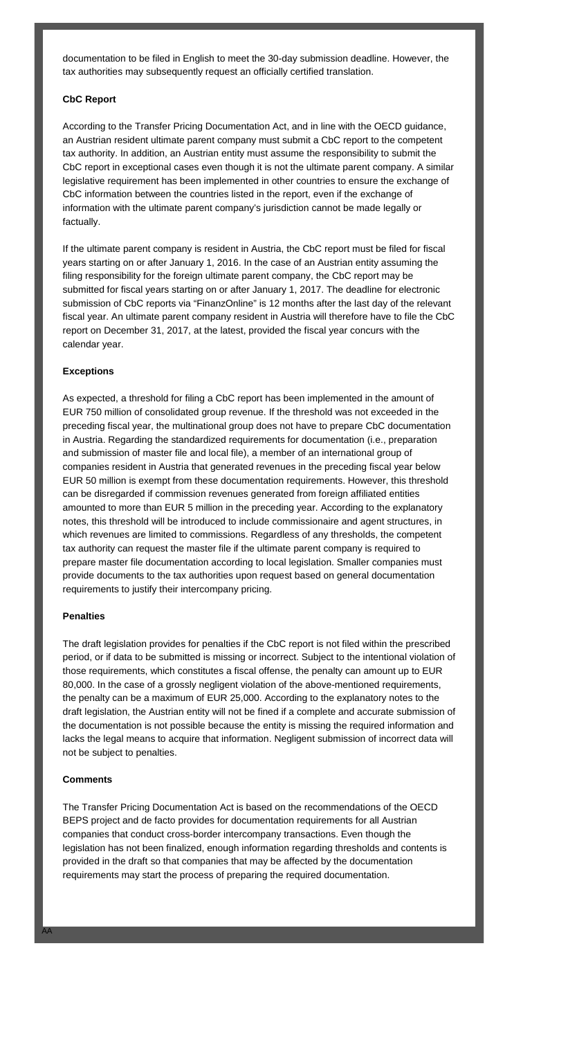documentation to be filed in English to meet the 30-day submission deadline. However, the tax authorities may subsequently request an officially certified translation.

## **CbC Report**

According to the Transfer Pricing Documentation Act, and in line with the OECD guidance, an Austrian resident ultimate parent company must submit a CbC report to the competent tax authority. In addition, an Austrian entity must assume the responsibility to submit the CbC report in exceptional cases even though it is not the ultimate parent company. A similar legislative requirement has been implemented in other countries to ensure the exchange of CbC information between the countries listed in the report, even if the exchange of information with the ultimate parent company's jurisdiction cannot be made legally or factually.

If the ultimate parent company is resident in Austria, the CbC report must be filed for fiscal years starting on or after January 1, 2016. In the case of an Austrian entity assuming the filing responsibility for the foreign ultimate parent company, the CbC report may be submitted for fiscal years starting on or after January 1, 2017. The deadline for electronic submission of CbC reports via "FinanzOnline" is 12 months after the last day of the relevant fiscal year. An ultimate parent company resident in Austria will therefore have to file the CbC report on December 31, 2017, at the latest, provided the fiscal year concurs with the calendar year.

## **Exceptions**

As expected, a threshold for filing a CbC report has been implemented in the amount of EUR 750 million of consolidated group revenue. If the threshold was not exceeded in the preceding fiscal year, the multinational group does not have to prepare CbC documentation in Austria. Regarding the standardized requirements for documentation (i.e., preparation and submission of master file and local file), a member of an international group of companies resident in Austria that generated revenues in the preceding fiscal year below EUR 50 million is exempt from these documentation requirements. However, this threshold can be disregarded if commission revenues generated from foreign affiliated entities amounted to more than EUR 5 million in the preceding year. According to the explanatory notes, this threshold will be introduced to include commissionaire and agent structures, in which revenues are limited to commissions. Regardless of any thresholds, the competent tax authority can request the master file if the ultimate parent company is required to prepare master file documentation according to local legislation. Smaller companies must provide documents to the tax authorities upon request based on general documentation requirements to justify their intercompany pricing.

## **Penalties**

The draft legislation provides for penalties if the CbC report is not filed within the prescribed period, or if data to be submitted is missing or incorrect. Subject to the intentional violation of those requirements, which constitutes a fiscal offense, the penalty can amount up to EUR 80,000. In the case of a grossly negligent violation of the above-mentioned requirements, the penalty can be a maximum of EUR 25,000. According to the explanatory notes to the draft legislation, the Austrian entity will not be fined if a complete and accurate submission of

the documentation is not possible because the entity is missing the required information and lacks the legal means to acquire that information. Negligent submission of incorrect data will not be subject to penalties.

#### **Comments**

The Transfer Pricing Documentation Act is based on the recommendations of the OECD BEPS project and de facto provides for documentation requirements for all Austrian companies that conduct cross-border intercompany transactions. Even though the legislation has not been finalized, enough information regarding thresholds and contents is provided in the draft so that companies that may be affected by the documentation requirements may start the process of preparing the required documentation.